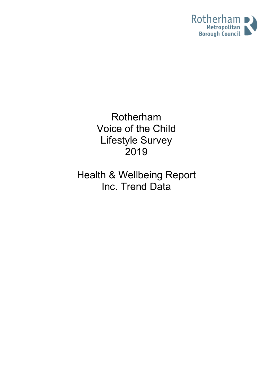

Rotherham Voice of the Child Lifestyle Survey 2019

Health & Wellbeing Report Inc. Trend Data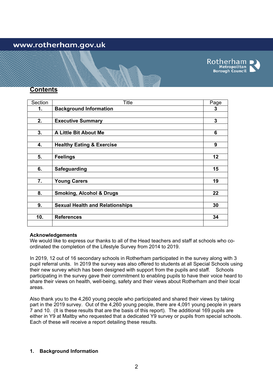# www.rotherham.gov.uk



## **Contents**

| Section | <b>Title</b>                           | Page |
|---------|----------------------------------------|------|
| 1.      | <b>Background Information</b>          | 3    |
|         |                                        |      |
| 2.      | <b>Executive Summary</b>               | 3    |
|         |                                        |      |
| 3.      | A Little Bit About Me                  | 6    |
|         |                                        |      |
| 4.      | <b>Healthy Eating &amp; Exercise</b>   | 9    |
|         |                                        |      |
| 5.      | <b>Feelings</b>                        | 12   |
|         |                                        |      |
| 6.      | <b>Safeguarding</b>                    | 15   |
|         |                                        |      |
| 7.      | <b>Young Carers</b>                    | 19   |
|         |                                        |      |
| 8.      | <b>Smoking, Alcohol &amp; Drugs</b>    | 22   |
|         |                                        |      |
| 9.      | <b>Sexual Health and Relationships</b> | 30   |
|         |                                        |      |
| 10.     | <b>References</b>                      | 34   |
|         |                                        |      |

#### **Acknowledgements**

We would like to express our thanks to all of the Head teachers and staff at schools who coordinated the completion of the Lifestyle Survey from 2014 to 2019.

In 2019, 12 out of 16 secondary schools in Rotherham participated in the survey along with 3 pupil referral units. In 2019 the survey was also offered to students at all Special Schools using their new survey which has been designed with support from the pupils and staff. Schools participating in the survey gave their commitment to enabling pupils to have their voice heard to share their views on health, well-being, safety and their views about Rotherham and their local areas.

Also thank you to the 4,260 young people who participated and shared their views by taking part in the 2019 survey. Out of the 4,260 young people, there are 4,091 young people in years 7 and 10. (It is these results that are the basis of this report). The additional 169 pupils are either in Y9 at Maltby who requested that a dedicated Y9 survey or pupils from special schools. Each of these will receive a report detailing these results.

## **1. Background Information**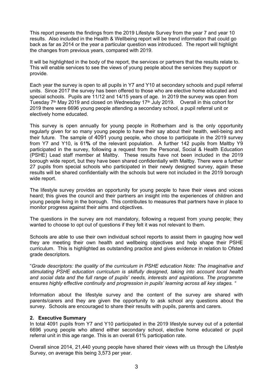This report presents the findings from the 2019 Lifestyle Survey from the year 7 and year 10 results. Also included in the Health & Wellbeing report will be trend information that could go back as far as 2014 or the year a particular question was introduced. The report will highlight the changes from previous years, compared with 2019.

It will be highlighted in the body of the report, the services or partners that the results relate to. This will enable services to see the views of young people about the services they support or provide.

Each year the survey is open to all pupils in Y7 and Y10 at secondary schools and pupil referral units. Since 2017 the survey has been offered to those who are elective home educated and special schools. Pupils are 11/12 and 14/15 years of age. In 2019 the survey was open from Tuesday 7<sup>th</sup> May 2019 and closed on Wednesday 17<sup>th</sup> July 2019. Overall in this cohort for 2019 there were 6696 young people attending a secondary school, a pupil referral unit or electively home educated.

This survey is open annually for young people in Rotherham and is the only opportunity regularly given for so many young people to have their say about their health, well-being and their future. The sample of 4091 young people, who chose to participate in the 2019 survey from Y7 and Y10, is 61**%** of the relevant population. A further 142 pupils from Maltby Y9 participated in the survey, following a request from the Personal, Social & Health Education (PSHE) Lead staff member at Maltby. These results have not been included in the 2019 borough wide report, but they have been shared confidentially with Maltby. There were a further 27 pupils from special schools who participated in their newly designed survey, again these results will be shared confidentially with the schools but were not included in the 2019 borough wide report.

The lifestyle survey provides an opportunity for young people to have their views and voices heard; this gives the council and their partners an insight into the experiences of children and young people living in the borough. This contributes to measures that partners have in place to monitor progress against their aims and objectives.

The questions in the survey are not mandatory, following a request from young people; they wanted to choose to opt out of questions if they felt it was not relevant to them.

Schools are able to use their own individual school reports to assist them in gauging how well they are meeting their own health and wellbeing objectives and help shape their PSHE curriculum. This is highlighted as outstanding practice and gives evidence in relation to Ofsted grade descriptors.

"*Grade descriptors: the quality of the curriculum in PSHE education Note: The imaginative and stimulating PSHE education curriculum is skilfully designed, taking into account local health and social data and the full range of pupils' needs, interests and aspirations. The programme ensures highly effective continuity and progression in pupils' learning across all key stages. "*

Information about the lifestyle survey and the content of the survey are shared with parents/carers and they are given the opportunity to ask school any questions about the survey. Schools are encouraged to share their results with pupils, parents and carers.

## **2. Executive Summary**

In total 4091 pupils from Y7 and Y10 participated in the 2019 lifestyle survey out of a potential 6696 young people who attend either secondary school, elective home educated or pupil referral unit in this age range. This is an overall 61% participation rate.

Overall since 2014, 21,440 young people have shared their views with us through the Lifestyle Survey, on average this being 3,573 per year.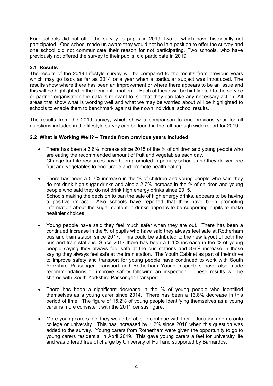Four schools did not offer the survey to pupils in 2019, two of which have historically not participated. One school made us aware they would not be in a position to offer the survey and one school did not communicate their reason for not participating. Two schools, who have previously not offered the survey to their pupils, did participate in 2019.

## **2.1 Results**

The results of the 2019 Lifestyle survey will be compared to the results from previous years which may go back as far as 2014 or a year when a particular subject was introduced. The results show where there has been an improvement or where there appears to be an issue and this will be highlighted in the trend information. Each of these will be highlighted to the service or partner organisation the data is relevant to, so that they can take any necessary action. All areas that show what is working well and what we may be worried about will be highlighted to schools to enable them to benchmark against their own individual school results.

The results from the 2019 survey, which show a comparison to one previous year for all questions included in the lifestyle survey can be found in the full borough wide report for 2019.

## **2.2 What is Working Well? – Trends from previous years included**

- There has been a 3.6% increase since 2015 of the % of children and young people who are eating the recommended amount of fruit and vegetables each day. Change for Life resources have been promoted in primary schools and they deliver free fruit and vegetables to encourage and promote health eating.
- There has been a 5.7% increase in the % of children and young people who said they do not drink high sugar drinks and also a 2.7% increase in the % of children and young people who said they do not drink high energy drinks since 2015. Schools making the decision to ban the sale of high energy drinks, appears to be having a positive impact. Also schools have reported that they have been promoting information about the sugar content in drinks appears to be supporting pupils to make healthier choices.
- Young people have said they feel much safer when they are out. There has been a continued increase in the % of pupils who have said they always feel safe at Rotherham bus and train station since 2017. This could be attributed to the new layout of both the bus and train stations. Since 2017 there has been a 6.1% increase in the % of young people saying they always feel safe at the bus stations and 8.6% increase in those saying they always feel safe at the train station. The Youth Cabinet as part of their drive to improve safety and transport for young people have continued to work with South Yorkshire Passenger Transport and Rotherham Young Inspectors have also made recommendations to improve safety following an inspection. These results will be shared with South Yorkshire Passenger Transport.
- There has been a significant decrease in the % of young people who identified themselves as a young carer since 2014. There has been a 13.8% decrease in this period of time. The figure of 15.2% of young people identifying themselves as a young carer is more consistent with the 2011 census figure.
- More young carers feel they would be able to continue with their education and go onto college or university. This has increased by 1.2% since 2018 when this question was added to the survey. Young carers from Rotherham were given the opportunity to go to young carers residential in April 2019. This gave young carers a feel for university life and was offered free of charge by University of Hull and supported by Barnardos.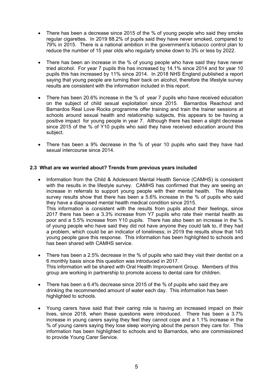- There has been a decrease since 2015 of the % of young people who said they smoke regular cigarettes. In 2019 88.2% of pupils said they have never smoked, compared to 79% in 2015. There is a national ambition in the government's tobacco control plan to reduce the number of 15 year olds who regularly smoke down to 3% or less by 2022.
- There has been an increase in the % of young people who have said they have never tried alcohol. For year 7 pupils this has increased by 14.1% since 2014 and for year 10 pupils this has increased by 11% since 2014. In 2018 NHS England published a report saying that young people are turning their back on alcohol, therefore the lifestyle survey results are consistent with the information included in this report.
- There has been 20.6% increase in the % of year 7 pupils who have received education on the subject of child sexual exploitation since 2015. Barnardos Reachout and Barnardos Real Love Rocks programme offer training and train the trainer sessions at schools around sexual health and relationship subjects, this appears to be having a positive impact for young people in year 7. Although there has been a slight decrease since 2015 of the % of Y10 pupils who said they have received education around this subject.
- There has been a 9% decrease in the % of year 10 pupils who said they have had sexual intercourse since 2014.

## **2.3 What are we worried about? Trends from previous years included**

- Information from the Child & Adolescent Mental Health Service (CAMHS) is consistent with the results in the lifestyle survey. CAMHS has confirmed that they are seeing an increase in referrals to support young people with their mental health. The lifestyle survey results show that there has been a 5.6% increase in the % of pupils who said they have a diagnosed mental health medical condition since 2015. This information is consistent with the results from pupils about their feelings, since 2017 there has been a 3.3% increase from Y7 pupils who rate their mental health as poor and a 5.5% increase from Y10 pupils. There has also been an increase in the % of young people who have said they did not have anyone they could talk to, if they had a problem, which could be an indicator of loneliness; in 2019 the results show that 145 young people gave this response. This information has been highlighted to schools and has been shared with CAMHS service.
- There has been a 2.5% decrease in the % of pupils who said they visit their dentist on a 6 monthly basis since this question was introduced in 2017. This information will be shared with Oral Health Improvement Group. Members of this group are working in partnership to promote access to dental care for children.
- There has been a 6.4% decrease since 2015 of the % of pupils who said they are drinking the recommended amount of water each day. This information has been highlighted to schools.
- Young carers have said that their caring role is having an increased impact on their lives, since 2018, when these questions were introduced. There has been a 3.7% increase in young carers saying they feel they cannot cope and a 1.1% increase in the % of young carers saying they lose sleep worrying about the person they care for. This information has been highlighted to schools and to Barnardos, who are commissioned to provide Young Carer Service.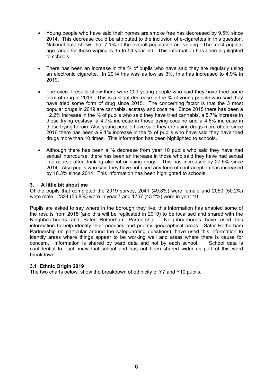- Young people who have said their homes are smoke free has decreased by 9.5% since 2014. This decrease could be attributed to the inclusion of e-cigarettes in this question. National data shows that 7.1% of the overall population are vaping. The most popular age range for those vaping is 35 to 54 year old. This information has been highlighted to schools.
- There has been an increase in the % of pupils who have said they are regularly using an electronic cigarette. In 2014 this was as low as 3%, this has increased to 4.9% in 2019.
- The overall results show there were 209 young people who said they have tried some form of drug in 2019. This is a slight decrease in the % of young people who said they have tried some form of drug since 2015. The concerning factor is that the 3 most popular drugs in 2019 are cannabis, ecstasy and cocaine. Since 2015 there has been a 12.2% increase in the % of pupils who said they have tried cannabis, a 5.7% increase in those trying ecstasy, a 4.7% increase in those trying cocaine and a 4.6% increase in those trying heroin. Also young people have said they are using drugs more often, since 2016 there has been a 9.1% increase in the % of pupils who have said they have tried drugs more than 10 times. This information has been highlighted to schools.
- Although there has been a % decrease from year 10 pupils who said they have had sexual intercourse, there has been an increase in those who said they have had sexual intercourse after drinking alcohol or using drugs. This has increased by 27.5% since 2014. Also pupils who said they have not used any form of contraception has increased by 10.3% since 2014. This information has been highlighted to schools.

## **3. A little bit about me**

Of the pupils that completed the 2019 survey, 2041 (49.8%) were female and 2050 (50.2%) were male. 2324 (56.8%) were in year 7 and 1767 (43.2%) were in year 10.

Pupils are asked to say where in the borough they live, this information has enabled some of the results from 2018 (and this will be replicated in 2019) to be localised and shared with the Neighbourhoods and Safer Rotherham Partnership. Neighbourhoods have used this information to help identify their priorities and priority geographical areas. Safer Rotherham Partnership (in particular around the safeguarding questions), have used this information to identify areas where things appear to be working well and areas where there is cause for concern. Information is shared by ward data and not by each school. School data is confidential to each individual school and has not been shared wider as part of this ward breakdown.

## **3.1 Ethnic Origin 2019**

The two charts below, show the breakdown of ethnicity of Y7 and Y10 pupils.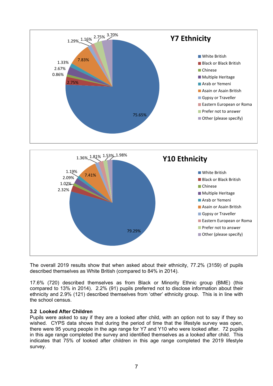



The overall 2019 results show that when asked about their ethnicity, 77.2% (3159) of pupils described themselves as White British (compared to 84% in 2014).

17.6% (720) described themselves as from Black or Minority Ethnic group (BME) (this compared to 13% in 2014). 2.2% (91) pupils preferred not to disclose information about their ethnicity and 2.9% (121) described themselves from 'other' ethnicity group. This is in line with the school census.

## **3.2 Looked After Children**

Pupils were asked to say if they are a looked after child, with an option not to say if they so wished. CYPS data shows that during the period of time that the lifestyle survey was open, there were 95 young people in the age range for Y7 and Y10 who were looked after. 72 pupils in this age range completed the survey and identified themselves as a looked after child. This indicates that 75% of looked after children in this age range completed the 2019 lifestyle survey.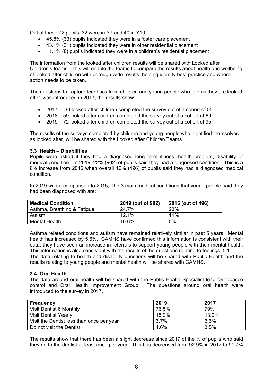Out of these 72 pupils, 32 were in Y7 and 40 in Y10.

- 45.8% (33) pupils indicated they were in a foster care placement
- 43.1% (31) pupils indicated they were in other residential placement
- 11.1% (8) pupils indicated they were in a children's residential placement

The information from the looked after children results will be shared with Looked after Children's teams. This will enable the teams to compare the results about health and wellbeing of looked after children with borough wide results, helping identify best practice and where action needs to be taken.

The questions to capture feedback from children and young people who told us they are looked after, was introduced in 2017, the results show:

- 2017 30 looked after children completed the survey out of a cohort of 55
- 2018 59 looked after children completed the survey out of a cohort of 69
- 2019 72 looked after children completed the survey out of a cohort of 95

The results of the surveys completed by children and young people who identified themselves as looked after, will be shared with the Looked after Children Teams.

## **3.3 Health – Disabilities**

Pupils were asked if they had a diagnosed long term illness, health problem, disability or medical condition. In 2019, 22% (902) of pupils said they had a diagnosed condition. This is a 6% increase from 2015 when overall 16% (496) of pupils said they had a diagnosed medical condition.

In 2019 with a comparison to 2015, the 3 main medical conditions that young people said they had been diagnosed with are:

| <b>Medical Condition</b>    | 2019 (out of 902) | 2015 (out of 496) |
|-----------------------------|-------------------|-------------------|
| Asthma, Breathing & Fatigue | 24.7%             | 23%               |
| Autism                      | 12.1%             | 11%               |
| <b>Mental Health</b>        | 10.6%             | 5%                |

Asthma related conditions and autism have remained relatively similar in past 5 years. Mental health has increased by 5.6%. CAMHS have confirmed this information is consistent with their data, they have seen an increase in referrals to support young people with their mental health. This information is also consistent with the results of the questions relating to feelings. 5.1. The data relating to health and disability questions will be shared with Public Health and the results relating to young people and mental health will be shared with CAMHS.

## **3.4 Oral Health**

The data around oral health will be shared with the Public Health Specialist lead for tobacco control and Oral Health Improvement Group. The questions around oral health were introduced to the survey in 2017.

| <b>Frequency</b>                          | 2019     | 2017    |
|-------------------------------------------|----------|---------|
| Visit Dentist 6 Monthly                   | 76.5%    | 79%     |
| <b>Visit Dentist Yearly</b>               | $15.2\%$ | 13.9%   |
| Visit the Dentist less than once per year | $3.7\%$  | $3.6\%$ |
| Do not visit the Dentist                  | 4.6%     | 3.5%    |

The results show that there has been a slight decrease since 2017 of the % of pupils who said they go to the dentist at least once per year. This has decreased from 92.9% in 2017 to 91.7%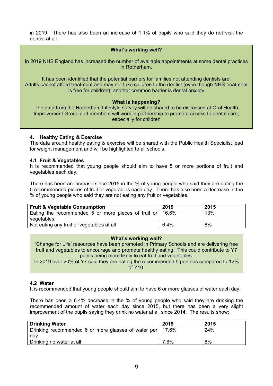in 2019. There has also been an increase of 1.1% of pupils who said they do not visit the dentist at all.

#### **What's working well?**

In 2019 NHS England has increased the number of available appointments at some dental practices in Rotherham.

It has been identified that the potential barriers for families not attending dentists are: Adults cannot afford treatment and may not take children to the dentist (even though NHS treatment is free for children); another common barrier is dental anxiety

#### **What is happening?**

The data from the Rotherham Lifestyle survey will be shared to be discussed at Oral Health Improvement Group and members will work in partnership to promote access to dental care, especially for children

#### **4. Healthy Eating & Exercise**

The data around healthy eating & exercise will be shared with the Public Health Specialist lead for weight management and will be highlighted to all schools.

#### **4.1 Fruit & Vegetables**

It is recommended that young people should aim to have 5 or more portions of fruit and vegetables each day.

There has been an increase since 2015 in the % of young people who said they are eating the 5 recommended pieces of fruit or vegetables each day. There has also been a decrease in the % of young people who said they are not eating any fruit or vegetables.

| <b>Fruit &amp; Vegetable Consumption</b>                          | 2019 | 2015 |
|-------------------------------------------------------------------|------|------|
| Eating the recommended 5 or more pieces of fruit or $\vert$ 16.6% |      | 13%  |
| vegetables                                                        |      |      |
| Not eating any fruit or vegetables at all                         | 6.4% | 8%   |

#### **What's working well?**

'Change for Life' resources have been promoted in Primary Schools and are delivering free fruit and vegetables to encourage and promote healthy eating. This could contribute to Y7 pupils being more likely to eat fruit and vegetables.

In 2019 over 20% of Y7 said they are eating the recommended 5 portions compared to 12%  $of Y10$ 

## **4.2 Water**

It is recommended that young people should aim to have 6 or more glasses of water each day.

There has been a 6.4% decrease in the % of young people who said they are drinking the recommended amount of water each day since 2015, but there has been a very slight improvement of the pupils saying they drink no water at all since 2014. The results show:

| <b>Drinking Water</b>                                       | 2019 | 2015 |
|-------------------------------------------------------------|------|------|
| Drinking recommended 6 or more glasses of water per   17.6% |      | 24%  |
| dav                                                         |      |      |
| Drinking no water at all                                    | 7.6% | 8%   |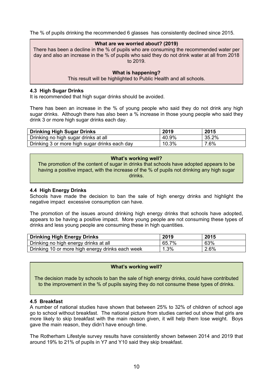The % of pupils drinking the recommended 6 glasses has consistently declined since 2015.

#### **What are we worried about? (2019)**

There has been a decline in the % of pupils who are consuming the recommended water per day and also an increase in the % of pupils who said they do not drink water at all from 2018 to 2019.

#### **What is happening?**

This result will be highlighted to Public Health and all schools.

#### **4.3 High Sugar Drinks**

It is recommended that high sugar drinks should be avoided.

There has been an increase in the % of young people who said they do not drink any high sugar drinks. Although there has also been a % increase in those young people who said they drink 3 or more high sugar drinks each day.

| <b>Drinking High Sugar Drinks</b>             | 2019  | 2015  |
|-----------------------------------------------|-------|-------|
| Drinking no high sugar drinks at all          | 40.9% | 35.2% |
| Drinking 3 or more high sugar drinks each day | 10.3% | 7.6%  |

#### **What's working well?**

The promotion of the content of sugar in drinks that schools have adopted appears to be having a positive impact, with the increase of the % of pupils not drinking any high sugar drinks.

#### **4.4 High Energy Drinks**

Schools have made the decision to ban the sale of high energy drinks and highlight the negative impact excessive consumption can have.

The promotion of the issues around drinking high energy drinks that schools have adopted, appears to be having a positive impact. More young people are not consuming these types of drinks and less young people are consuming these in high quantities.

| <b>Drinking High Energy Drinks</b>               | 2019     | 2015    |
|--------------------------------------------------|----------|---------|
| Drinking no high energy drinks at all            | $65.7\%$ | ່ 63%   |
| Drinking 10 or more high energy drinks each week | 1.3%     | $2.6\%$ |

#### **What's working well?**

The decision made by schools to ban the sale of high energy drinks, could have contributed to the improvement in the % of pupils saying they do not consume these types of drinks.

#### **4.5 Breakfast**

A number of national studies have shown that between 25% to 32% of children of school age go to school without breakfast. The national picture from studies carried out show that girls are more likely to skip breakfast with the main reason given, it will help them lose weight. Boys gave the main reason, they didn't have enough time.

The Rotherham Lifestyle survey results have consistently shown between 2014 and 2019 that around 19% to 21% of pupils in Y7 and Y10 said they skip breakfast.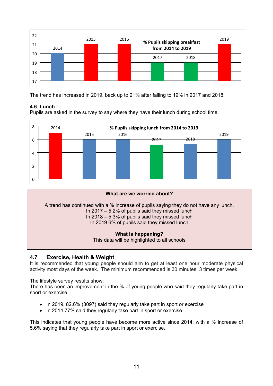

The trend has increased in 2019, back up to 21% after falling to 19% in 2017 and 2018.

## **4.6 Lunch**

Pupils are asked in the survey to say where they have their lunch during school time.



# **What are we worried about?**

A trend has continued with a % increase of pupils saying they do not have any lunch. In 2017 – 5.2% of pupils said they missed lunch In 2018 – 5.3% of pupils said they missed lunch In 2019 6% of pupils said they missed lunch

## **What is happening?**

This data will be highlighted to all schools

## **4.7 Exercise, Health & Weight**.

It is recommended that young people should aim to get at least one hour moderate physical activity most days of the week. The minimum recommended is 30 minutes, 3 times per week.

The lifestyle survey results show:

There has been an improvement in the % of young people who said they regularly take part in sport or exercise

- In 2019, 82.6% (3097) said they regularly take part in sport or exercise
- In 2014 77% said they regularly take part in sport or exercise

This indicates that young people have become more active since 2014, with a % increase of 5.6% saying that they regularly take part in sport or exercise.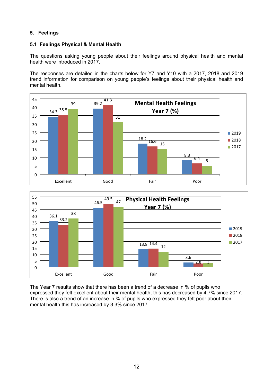## **5. Feelings**

## **5.1 Feelings Physical & Mental Health**

The questions asking young people about their feelings around physical health and mental health were introduced in 2017.

The responses are detailed in the charts below for Y7 and Y10 with a 2017, 2018 and 2019 trend information for comparison on young people's feelings about their physical health and mental health.





The Year 7 results show that there has been a trend of a decrease in % of pupils who expressed they felt excellent about their mental health, this has decreased by 4.7% since 2017. There is also a trend of an increase in % of pupils who expressed they felt poor about their mental health this has increased by 3.3% since 2017.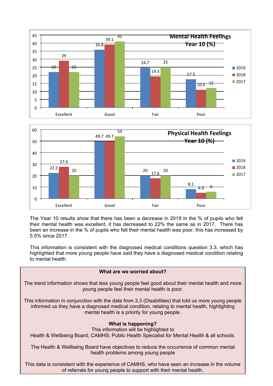



The Year 10 results show that there has been a decrease in 2019 in the % of pupils who felt their mental health was excellent, it has decreased to 22% the same as in 2017. There has been an increase in the % of pupils who felt their mental health was poor, this has increased by 5.5% since 2017.

This information is consistent with the diagnosed medical conditions question 3.3, which has highlighted that more young people have said they have a diagnosed medical condition relating to mental health.

## **What are we worried about?**

The trend information shows that less young people feel good about their mental health and more young people feel their mental health is poor.

This information in conjunction with the data from 3.3 (Disabilities) that told us more young people informed us they have a diagnosed medical condition, relating to mental health, highlighting mental health is a priority for young people.

## **What is happening?**

This information will be highlighted to Health & Wellbeing Board; CAMHS; Public Health Specialist for Mental Health & all schools.

The Health & Wellbeing Board have objectives to reduce the occurrence of common mental health problems among young people

This data is consistent with the experience of CAMHS, who have seen an increase in the volume of referrals for young people to support with their mental health.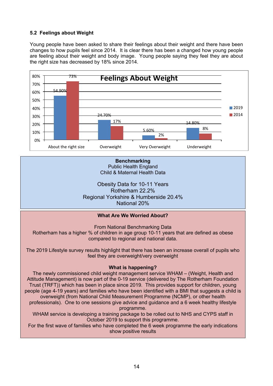## **5.2 Feelings about Weight**

Young people have been asked to share their feelings about their weight and there have been changes to how pupils feel since 2014. It is clear there has been a changed how young people are feeling about their weight and body image. Young people saying they feel they are about the right size has decreased by 18% since 2014.



**Benchmarking** Public Health England

Child & Maternal Health Data

Obesity Data for 10-11 Years Rotherham 22.2% Regional Yorkshire & Humberside 20.4% National 20%

## **What Are We Worried About?**

From National Benchmarking Data

Rotherham has a higher % of children in age group 10-11 years that are defined as obese compared to regional and national data.

The 2019 Lifestyle survey results highlight that there has been an increase overall of pupils who feel they are overweight/very overweight

## **What is happening?**

The newly commissioned child weight management service WHAM – (Weight, Health and Attitude Management) is now part of the 0-19 service (delivered by The Rotherham Foundation Trust (TRFT)) which has been in place since 2019. This provides support for children, young people (age 4-19 years) and families who have been identified with a BMI that suggests a child is overweight (from National Child Measurement Programme (NCMP), or other health professionals). One to one sessions give advice and guidance and a 6 week healthy lifestyle programme. WHAM service is developing a training package to be rolled out to NHS and CYPS staff in October 2019 to support this programme. For the first wave of families who have completed the 6 week programme the early indications

show positive results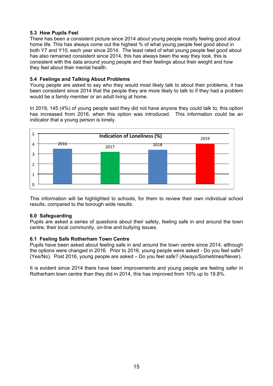## **5.3 How Pupils Feel**

There has been a consistent picture since 2014 about young people mostly feeling good about home life. This has always come out the highest % of what young people feel good about in both Y7 and Y10, each year since 2014. The least rated of what young people feel good about has also remained consistent since 2014, this has always been the way they look, this is consistent with the data around young people and their feelings about their weight and how they feel about their mental health.

## **5.4 Feelings and Talking About Problems**

Young people are asked to say who they would most likely talk to about their problems, it has been consistent since 2014 that the people they are more likely to talk to if they had a problem would be a family member or an adult living at home.

In 2019, 145 (4%) of young people said they did not have anyone they could talk to, this option has increased from 2016, when this option was introduced. This information could be an indicator that a young person is lonely.



This information will be highlighted to schools, for them to review their own individual school results, compared to the borough wide results.

## **6.0 Safeguarding**

Pupils are asked a series of questions about their safety, feeling safe in and around the town centre, their local community, on-line and bullying issues.

## **6.1 Feeling Safe Rotherham Town Centre**

Pupils have been asked about feeling safe in and around the town centre since 2014, although the options were changed in 2016. Prior to 2016, young people were asked - Do you feel safe? (Yes/No). Post 2016, young people are asked – Do you feel safe? (Always/Sometimes/Never).

It is evident since 2014 there have been improvements and young people are feeling safer in Rotherham town centre than they did in 2014, this has improved from 10% up to 19.8%.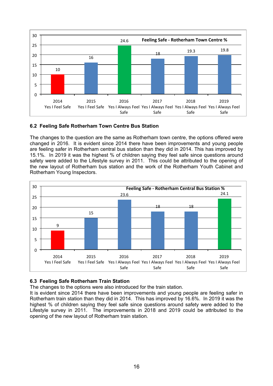

## **6.2 Feeling Safe Rotherham Town Centre Bus Station**

The changes to the question are the same as Rotherham town centre, the options offered were changed in 2016. It is evident since 2014 there have been improvements and young people are feeling safer in Rotherham central bus station than they did in 2014. This has improved by 15.1%. In 2019 it was the highest % of children saying they feel safe since questions around safety were added to the Lifestyle survey in 2011. This could be attributed to the opening of the new layout of Rotherham bus station and the work of the Rotherham Youth Cabinet and Rotherham Young Inspectors.



## **6.3 Feeling Safe Rotherham Train Station**

The changes to the options were also introduced for the train station.

It is evident since 2014 there have been improvements and young people are feeling safer in Rotherham train station than they did in 2014. This has improved by 16.6%. In 2019 it was the highest % of children saying they feel safe since questions around safety were added to the Lifestyle survey in 2011. The improvements in 2018 and 2019 could be attributed to the opening of the new layout of Rotherham train station.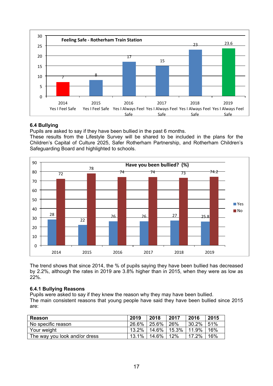

## **6.4 Bullying**

Pupils are asked to say if they have been bullied in the past 6 months.

These results from the Lifestyle Survey will be shared to be included in the plans for the Children's Capital of Culture 2025, Safer Rotherham Partnership, and Rotherham Children's Safeguarding Board and highlighted to schools.



The trend shows that since 2014, the % of pupils saying they have been bullied has decreased by 2.2%, although the rates in 2019 are 3.8% higher than in 2015, when they were as low as 22%.

## **6.4.1 Bullying Reasons**

Pupils were asked to say if they knew the reason why they may have been bullied. The main consistent reasons that young people have said they have been bullied since 2015 are:

| Reason                        | 2019  | 2018         | 2017             | 2016  | 2015 |
|-------------------------------|-------|--------------|------------------|-------|------|
| No specific reason            | 26.6% | $\pm 25.6\%$ | $^{\circ}$ 26%   | 30.2% | 151% |
| Your weight                   | 13.2% | $14.6\%$     | $15.3\%$   11.9% |       | 16%  |
| The way you look and/or dress | 13.1% | $14.6\%$     | 12%              | 17.2% | 16%  |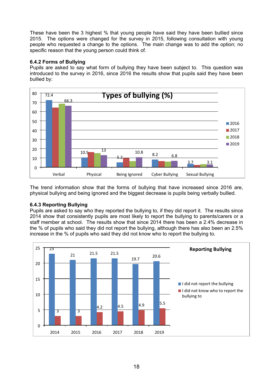These have been the 3 highest % that young people have said they have been bullied since 2015. The options were changed for the survey in 2015, following consultation with young people who requested a change to the options. The main change was to add the option; no specific reason that the young person could think of.

## **6.4.2 Forms of Bullying**

Pupils are asked to say what form of bullying they have been subject to. This question was introduced to the survey in 2016, since 2016 the results show that pupils said they have been bullied by:



The trend information show that the forms of bullying that have increased since 2016 are, physical bullying and being ignored and the biggest decrease is pupils being verbally bullied.

## **6.4.3 Reporting Bullying**

Pupils are asked to say who they reported the bullying to, if they did report it. The results since 2014 show that consistently pupils are most likely to report the bullying to parents/carers or a staff member at school. The results show that since 2014 there has been a 2.4% decrease in the % of pupils who said they did not report the bullying, although there has also been an 2.5% increase in the % of pupils who said they did not know who to report the bullying to.

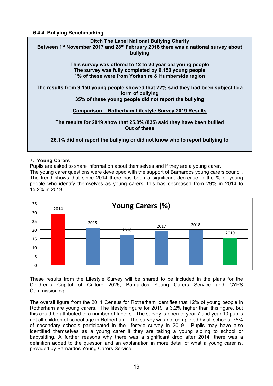#### **6.4.4 Bullying Benchmarking**



## **7. Young Carers**

Pupils are asked to share information about themselves and if they are a young carer. The young carer questions were developed with the support of Barnardos young carers council. The trend shows that since 2014 there has been a significant decrease in the % of young people who identify themselves as young carers, this has decreased from 29% in 2014 to 15.2% in 2019.



These results from the Lifestyle Survey will be shared to be included in the plans for the Children's Capital of Culture 2025, Barnardos Young Carers Service and CYPS Commissioning.

The overall figure from the 2011 Census for Rotherham identifies that 12% of young people in Rotherham are young carers. The lifestyle figure for 2019 is 3.2% higher than this figure, but this could be attributed to a number of factors. The survey is open to year 7 and year 10 pupils not all children of school age in Rotherham. The survey was not completed by all schools, 75% of secondary schools participated in the lifestyle survey in 2019. Pupils may have also identified themselves as a young carer if they are taking a young sibling to school or babysitting. A further reasons why there was a significant drop after 2014, there was a definition added to the question and an explanation in more detail of what a young carer is, provided by Barnardos Young Carers Service.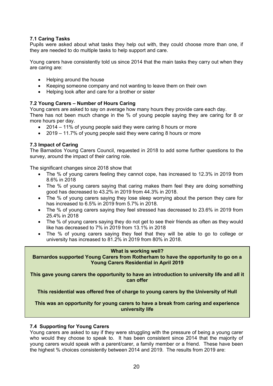## **7.1 Caring Tasks**

Pupils were asked about what tasks they help out with, they could choose more than one, if they are needed to do multiple tasks to help support and care.

Young carers have consistently told us since 2014 that the main tasks they carry out when they are caring are:

- Helping around the house
- Keeping someone company and not wanting to leave them on their own
- Helping look after and care for a brother or sister

## **7.2 Young Carers – Number of Hours Caring**

Young carers are asked to say on average how many hours they provide care each day.

There has not been much change in the % of young people saying they are caring for 8 or more hours per day.

- 2014 11% of young people said they were caring 8 hours or more
- 2019 11.7% of young people said they were caring 8 hours or more

## **7.3 Impact of Caring**

The Barnados Young Carers Council, requested in 2018 to add some further questions to the survey, around the impact of their caring role.

The significant changes since 2018 show that

- The % of young carers feeling they cannot cope, has increased to 12.3% in 2019 from 8.6% in 2018
- The % of young carers saying that caring makes them feel they are doing something good has decreased to 43.2% in 2019 from 44.3% in 2018.
- The % of young carers saying they lose sleep worrying about the person they care for has increased to 6.5% in 2019 from 5.7% in 2018.
- The % of young carers saying they feel stressed has decreased to 23.6% in 2019 from 25.4% in 2018
- The % of young carers saying they do not get to see their friends as often as they would like has decreased to 7% in 2019 from 13.1% in 2018
- The % of young carers saying they feel that they will be able to go to college or university has increased to 81.2% in 2019 from 80% in 2018.

**What is working well? Barnardos supported Young Carers from Rotherham to have the opportunity to go on a Young Carers Residential in April 2019**

**This gave young carers the opportunity to have an introduction to university life and all it can offer**

**This residential was offered free of charge to young carers by the University of Hull**

**This was an opportunity for young carers to have a break from caring and experience university life**

## **7.4 Supporting for Young Carers**

Young carers are asked to say if they were struggling with the pressure of being a young carer who would they choose to speak to. It has been consistent since 2014 that the majority of young carers would speak with a parent/carer, a family member or a friend. These have been the highest % choices consistently between 2014 and 2019. The results from 2019 are: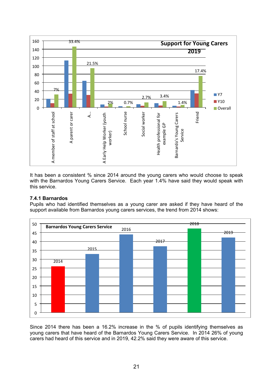

It has been a consistent % since 2014 around the young carers who would choose to speak with the Barnardos Young Carers Service. Each year 1.4% have said they would speak with this service.

## **7.4.1 Barnardos**

Pupils who had identified themselves as a young carer are asked if they have heard of the support available from Barnardos young carers services, the trend from 2014 shows:



Since 2014 there has been a 16.2% increase in the % of pupils identifying themselves as young carers that have heard of the Barnardos Young Carers Service. In 2014 26% of young carers had heard of this service and in 2019, 42.2% said they were aware of this service.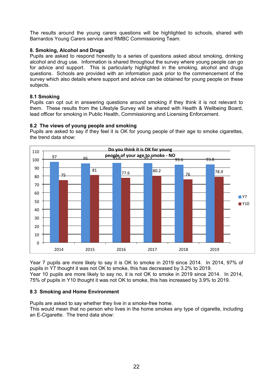The results around the young carers questions will be highlighted to schools, shared with Barnardos Young Carers service and RMBC Commissioning Team.

## **8. Smoking, Alcohol and Drugs**

Pupils are asked to respond honestly to a series of questions asked about smoking, drinking alcohol and drug use. Information is shared throughout the survey where young people can go for advice and support. This is particularly highlighted in the smoking, alcohol and drugs questions. Schools are provided with an information pack prior to the commencement of the survey which also details where support and advice can be obtained for young people on these subjects.

## **8.1 Smoking**

Pupils can opt out in answering questions around smoking if they think it is not relevant to them. These results from the Lifestyle Survey will be shared with Health & Wellbeing Board, lead officer for smoking in Public Health, Commissioning and Licensing Enforcement.

## **8.2 The views of young people and smoking**

Pupils are asked to say if they feel it is OK for young people of their age to smoke cigarettes, the trend data show:



Year 7 pupils are more likely to say it is OK to smoke in 2019 since 2014. In 2014, 97% of pupils in Y7 thought it was not OK to smoke, this has decreased by 3.2% to 2019. Year 10 pupils are more likely to say no, it is not OK to smoke in 2019 since 2014. In 2014, 75% of pupils in Y10 thought it was not OK to smoke, this has increased by 3.9% to 2019.

## **8**.**3 Smoking and Home Environment**

Pupils are asked to say whether they live in a smoke-free home.

This would mean that no person who lives in the home smokes any type of cigarette, including an E-Cigarette. The trend data show: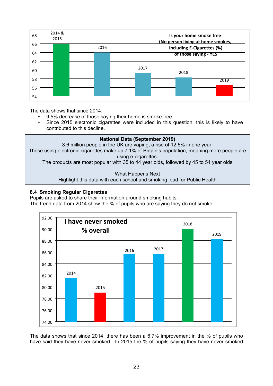

The data shows that since 2014:

- 9.5% decrease of those saying their home is smoke free
- Since 2015 electronic cigarettes were included in this question, this is likely to have contributed to this decline.



## **8.4 Smoking Regular Cigarettes**

Pupils are asked to share their information around smoking habits.

The trend data from 2014 show the % of pupils who are saying they do not smoke.



The data shows that since 2014, there has been a 6.7% improvement in the % of pupils who have said they have never smoked. In 2015 the % of pupils saying they have never smoked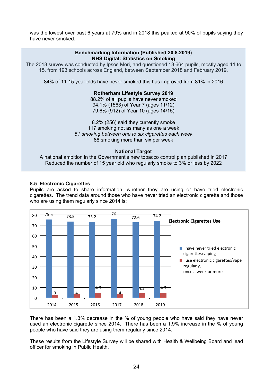was the lowest over past 6 years at 79% and in 2018 this peaked at 90% of pupils saying they have never smoked.



## **8.5 Electronic Cigarettes**

Pupils are asked to share information, whether they are using or have tried electronic cigarettes. The trend data around those who have never tried an electronic cigarette and those who are using them regularly since 2014 is:



There has been a 1.3% decrease in the % of young people who have said they have never used an electronic cigarette since 2014. There has been a 1.9% increase in the % of young people who have said they are using them regularly since 2014.

These results from the Lifestyle Survey will be shared with Health & Wellbeing Board and lead officer for smoking in Public Health.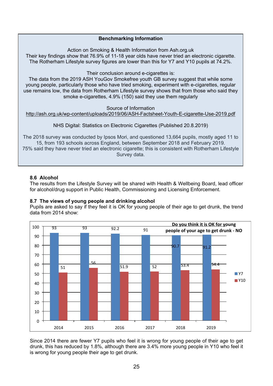## **Benchmarking Information**

Action on Smoking & Health Information from Ash.org.uk

Their key findings show that 76.9% of 11-18 year olds have never tried an electronic cigarette. The Rotherham Lifestyle survey figures are lower than this for Y7 and Y10 pupils at 74.2%.

Their conclusion around e-cigarettes is:

The data from the 2019 ASH YouGov Smokefree youth GB survey suggest that while some young people, particularly those who have tried smoking, experiment with e-cigarettes, regular use remains low, the data from Rotherham Lifestyle survey shows that from those who said they smoke e-cigarettes, 4.9% (150) said they use them regularly

Source of Information

<http://ash.org.uk/wp-content/uploads/2019/06/ASH-Factsheet-Youth-E-cigarette-Use-2019.pdf>

NHS Digital: Statistics on Electronic Cigarettes (Published 20.8.2019)

The 2018 survey was conducted by Ipsos Mori, and questioned 13,664 pupils, mostly aged 11 to 15, from 193 schools across England, between September 2018 and February 2019. 75% said they have never tried an electronic cigarette; this is consistent with Rotherham Lifestyle Survey data.

## **8.6 Alcohol**

The results from the Lifestyle Survey will be shared with Health & Wellbeing Board, lead officer for alcohol/drug support in Public Health, Commissioning and Licensing Enforcement.

## **8.7 The views of young people and drinking alcohol**

Pupils are asked to say if they feel it is OK for young people of their age to get drunk, the trend data from 2014 show:



Since 2014 there are fewer Y7 pupils who feel it is wrong for young people of their age to get drunk, this has reduced by 1.8%, although there are 3.4% more young people in Y10 who feel it is wrong for young people their age to get drunk.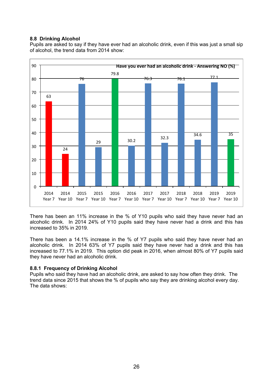## **8.8 Drinking Alcohol**

Pupils are asked to say if they have ever had an alcoholic drink, even if this was just a small sip of alcohol, the trend data from 2014 show:



There has been an 11% increase in the % of Y10 pupils who said they have never had an alcoholic drink. In 2014 24% of Y10 pupils said they have never had a drink and this has increased to 35% in 2019.

There has been a 14.1% increase in the % of Y7 pupils who said they have never had an alcoholic drink. In 2014 63% of Y7 pupils said they have never had a drink and this has increased to 77.1% in 2019. This option did peak in 2016, when almost 80% of Y7 pupils said they have never had an alcoholic drink.

## **8.8.1 Frequency of Drinking Alcohol**

Pupils who said they have had an alcoholic drink, are asked to say how often they drink. The trend data since 2015 that shows the % of pupils who say they are drinking alcohol every day. The data shows: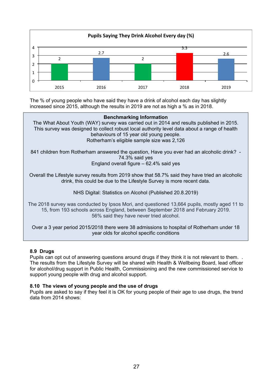

The % of young people who have said they have a drink of alcohol each day has slightly increased since 2015, although the results in 2019 are not as high a % as in 2018.

#### **Benchmarking Information**

The What About Youth (WAY) survey was carried out in 2014 and results published in 2015. This survey was designed to collect robust local authority level data about a range of health behaviours of 15 year old young people. Rotherham's eligible sample size was 2,126

841 children from Rotherham answered the question, Have you ever had an alcoholic drink? - 74.3% said yes England overall figure – 62.4% said yes

Overall the Lifestyle survey results from 2019 show that 58.7% said they have tried an alcoholic drink, this could be due to the Lifestyle Survey is more recent data.

NHS Digital: Statistics on Alcohol (Published 20.8.2019)

The 2018 survey was conducted by Ipsos Mori, and questioned 13,664 pupils, mostly aged 11 to 15, from 193 schools across England, between September 2018 and February 2019. 56% said they have never tried alcohol.

Over a 3 year period 2015/2018 there were 38 admissions to hospital of Rotherham under 18 year olds for alcohol specific conditions

#### **8.9 Drugs**

Pupils can opt out of answering questions around drugs if they think it is not relevant to them. . The results from the Lifestyle Survey will be shared with Health & Wellbeing Board, lead officer for alcohol/drug support in Public Health, Commissioning and the new commissioned service to support young people with drug and alcohol support.

#### **8.10 The views of young people and the use of drugs**

Pupils are asked to say if they feel it is OK for young people of their age to use drugs, the trend data from 2014 shows: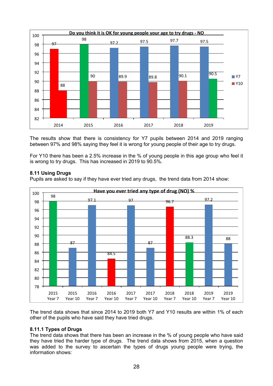

The results show that there is consistency for Y7 pupils between 2014 and 2019 ranging between 97% and 98% saying they feel it is wrong for young people of their age to try drugs.

For Y10 there has been a 2.5% increase in the % of young people in this age group who feel it is wrong to try drugs. This has increased in 2019 to 90.5%.

## **8.11 Using Drugs**

Pupils are asked to say if they have ever tried any drugs, the trend data from 2014 show:



The trend data shows that since 2014 to 2019 both Y7 and Y10 results are within 1% of each other of the pupils who have said they have tried drugs.

## **8.11.1 Types of Drugs**

The trend data shows that there has been an increase in the % of young people who have said they have tried the harder type of drugs. The trend data shows from 2015, when a question was added to the survey to ascertain the types of drugs young people were trying, the information shows: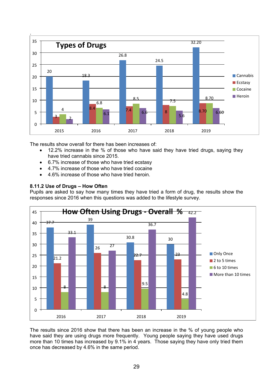

The results show overall for there has been increases of:

- 12.2% increase in the % of those who have said they have tried drugs, saying they have tried cannabis since 2015.
- 6.7% increase of those who have tried ecstasy
- 4.7% increase of those who have tried cocaine
- 4.6% increase of those who have tried heroin.

## **8.11.2 Use of Drugs – How Often**

Pupils are asked to say how many times they have tried a form of drug, the results show the responses since 2016 when this questions was added to the lifestyle survey.



The results since 2016 show that there has been an increase in the % of young people who have said they are using drugs more frequently. Young people saying they have used drugs more than 10 times has increased by 9.1% in 4 years. Those saying they have only tried them once has decreased by 4.6% in the same period.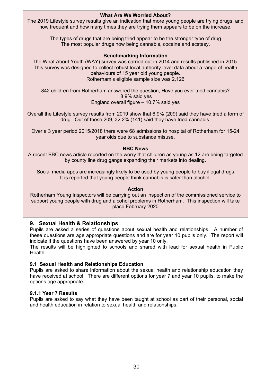**What Are We Worried About?** The 2019 Lifestyle survey results give an indication that more young people are trying drugs, and how frequent and how many times they are trying them appears to be on the increase.

> The types of drugs that are being tried appear to be the stronger type of drug The most popular drugs now being cannabis, cocaine and ecstasy.

## **Benchmarking Information**

The What About Youth (WAY) survey was carried out in 2014 and results published in 2015. This survey was designed to collect robust local authority level data about a range of health behaviours of 15 year old young people. Rotherham's eligible sample size was 2,126

842 children from Rotherham answered the question, Have you ever tried cannabis? 8.9% said yes England overall figure – 10.7% said yes

Overall the Lifestyle survey results from 2019 show that 6.9% (209) said they have tried a form of drug. Out of these 209, 32.2% (141) said they have tried cannabis.

Over a 3 year period 2015/2018 there were 68 admissions to hospital of Rotherham for 15-24 year olds due to substance misuse.

## **BBC News**

A recent BBC news article reported on the worry that children as young as 12 are being targeted by county line drug gangs expanding their markets into dealing.

Social media apps are increasingly likely to be used by young people to buy illegal drugs It is reported that young people think cannabis is safer than alcohol.

## **Action**

Rotherham Young Inspectors will be carrying out an inspection of the commissioned service to support young people with drug and alcohol problems in Rotherham. This inspection will take place February 2020

## **9. Sexual Health & Relationships**

Pupils are asked a series of questions about sexual health and relationships. A number of these questions are age appropriate questions and are for year 10 pupils only. The report will indicate if the questions have been answered by year 10 only.

The results will be highlighted to schools and shared with lead for sexual health in Public Health.

## **9.1 Sexual Health and Relationships Education**

Pupils are asked to share information about the sexual health and relationship education they have received at school. There are different options for year 7 and year 10 pupils, to make the options age appropriate.

## **9.1.1 Year 7 Results**

Pupils are asked to say what they have been taught at school as part of their personal, social and health education in relation to sexual health and relationships.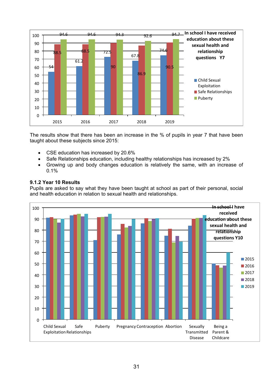

The results show that there has been an increase in the % of pupils in year 7 that have been taught about these subjects since 2015:

- CSE education has increased by 20.6%
- Safe Relationships education, including healthy relationships has increased by 2%
- Growing up and body changes education is relatively the same, with an increase of 0.1%

## **9.1.2 Year 10 Results**

Pupils are asked to say what they have been taught at school as part of their personal, social and health education in relation to sexual health and relationships.

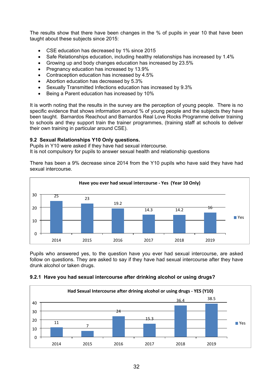The results show that there have been changes in the % of pupils in year 10 that have been taught about these subjects since 2015:

- CSE education has decreased by 1% since 2015
- Safe Relationships education, including healthy relationships has increased by 1.4%
- Growing up and body changes education has increased by 23.5%
- Pregnancy education has increased by 13.9%
- Contraception education has increased by 4.5%
- Abortion education has decreased by 5.3%
- Sexually Transmitted Infections education has increased by 9.3%
- Being a Parent education has increased by 10%

It is worth noting that the results in the survey are the perception of young people. There is no specific evidence that shows information around % of young people and the subjects they have been taught. Barnardos Reachout and Barnardos Real Love Rocks Programme deliver training to schools and they support train the trainer programmes, (training staff at schools to deliver their own training in particular around CSE).

## **9.2 Sexual Relationships Y10 Only questions.**

Pupils in Y10 were asked if they have had sexual intercourse. It is not compulsory for pupils to answer sexual health and relationship questions

There has been a 9% decrease since 2014 from the Y10 pupils who have said they have had sexual intercourse.



Pupils who answered yes, to the question have you ever had sexual intercourse, are asked follow on questions. They are asked to say if they have had sexual intercourse after they have drunk alcohol or taken drugs.



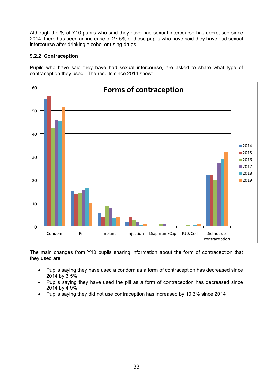Although the % of Y10 pupils who said they have had sexual intercourse has decreased since 2014, there has been an increase of 27.5% of those pupils who have said they have had sexual intercourse after drinking alcohol or using drugs.

## **9.2.2 Contraception**

Pupils who have said they have had sexual intercourse, are asked to share what type of contraception they used. The results since 2014 show:



The main changes from Y10 pupils sharing information about the form of contraception that they used are:

- Pupils saying they have used a condom as a form of contraception has decreased since 2014 by 3.5%
- Pupils saying they have used the pill as a form of contraception has decreased since 2014 by 4.9%
- Pupils saying they did not use contraception has increased by 10.3% since 2014